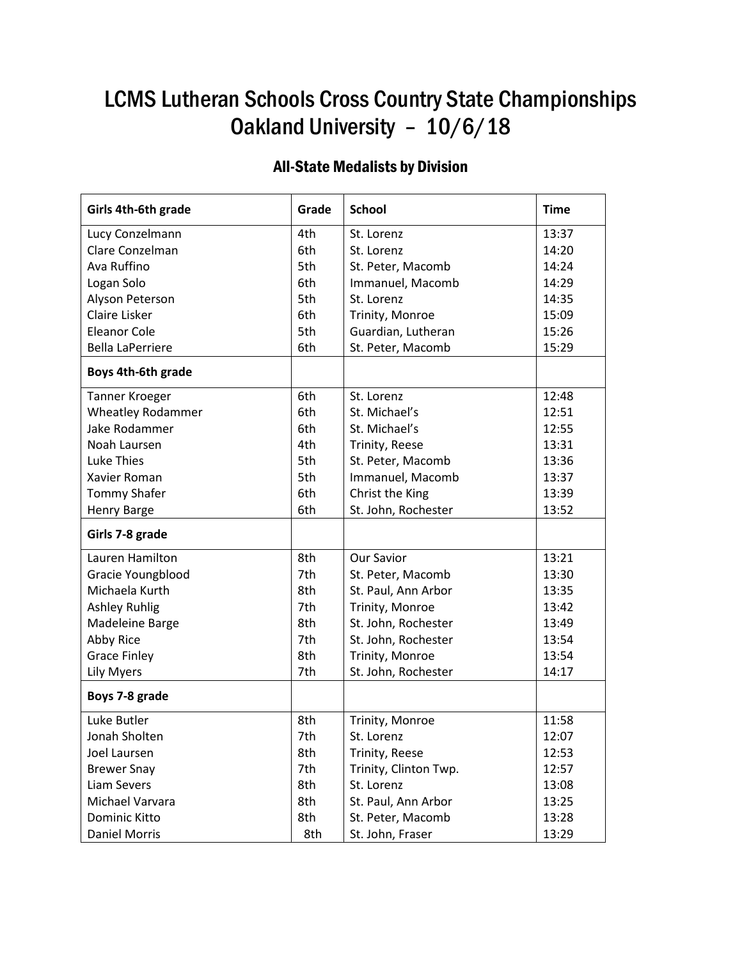# LCMS Lutheran Schools Cross Country State Championships Oakland University – 10/6/18

## All-State Medalists by Division

| Girls 4th-6th grade      | Grade | <b>School</b>         | <b>Time</b> |
|--------------------------|-------|-----------------------|-------------|
| Lucy Conzelmann          | 4th   | St. Lorenz            | 13:37       |
| Clare Conzelman          | 6th   | St. Lorenz            | 14:20       |
| Ava Ruffino              | 5th   | St. Peter, Macomb     | 14:24       |
| Logan Solo               | 6th   | Immanuel, Macomb      | 14:29       |
| Alyson Peterson          | 5th   | St. Lorenz            | 14:35       |
| Claire Lisker            | 6th   | Trinity, Monroe       | 15:09       |
| <b>Eleanor Cole</b>      | 5th   | Guardian, Lutheran    | 15:26       |
| <b>Bella LaPerriere</b>  | 6th   | St. Peter, Macomb     | 15:29       |
| Boys 4th-6th grade       |       |                       |             |
| <b>Tanner Kroeger</b>    | 6th   | St. Lorenz            | 12:48       |
| <b>Wheatley Rodammer</b> | 6th   | St. Michael's         | 12:51       |
| Jake Rodammer            | 6th   | St. Michael's         | 12:55       |
| Noah Laursen             | 4th   | Trinity, Reese        | 13:31       |
| <b>Luke Thies</b>        | 5th   | St. Peter, Macomb     | 13:36       |
| Xavier Roman             | 5th   | Immanuel, Macomb      | 13:37       |
| <b>Tommy Shafer</b>      | 6th   | Christ the King       | 13:39       |
| Henry Barge              | 6th   | St. John, Rochester   | 13:52       |
| Girls 7-8 grade          |       |                       |             |
| Lauren Hamilton          | 8th   | Our Savior            | 13:21       |
| Gracie Youngblood        | 7th   | St. Peter, Macomb     | 13:30       |
| Michaela Kurth           | 8th   | St. Paul, Ann Arbor   | 13:35       |
| <b>Ashley Ruhlig</b>     | 7th   | Trinity, Monroe       | 13:42       |
| Madeleine Barge          | 8th   | St. John, Rochester   | 13:49       |
| Abby Rice                | 7th   | St. John, Rochester   | 13:54       |
| <b>Grace Finley</b>      | 8th   | Trinity, Monroe       | 13:54       |
| <b>Lily Myers</b>        | 7th   | St. John, Rochester   | 14:17       |
| Boys 7-8 grade           |       |                       |             |
| Luke Butler              | 8th   | Trinity, Monroe       | 11:58       |
| Jonah Sholten            | 7th   | St. Lorenz            | 12:07       |
| Joel Laursen             | 8th   | Trinity, Reese        | 12:53       |
| <b>Brewer Snay</b>       | 7th   | Trinity, Clinton Twp. | 12:57       |
| Liam Severs              | 8th   | St. Lorenz            | 13:08       |
| Michael Varvara          | 8th   | St. Paul, Ann Arbor   | 13:25       |
| Dominic Kitto            | 8th   | St. Peter, Macomb     | 13:28       |
| <b>Daniel Morris</b>     | 8th   | St. John, Fraser      | 13:29       |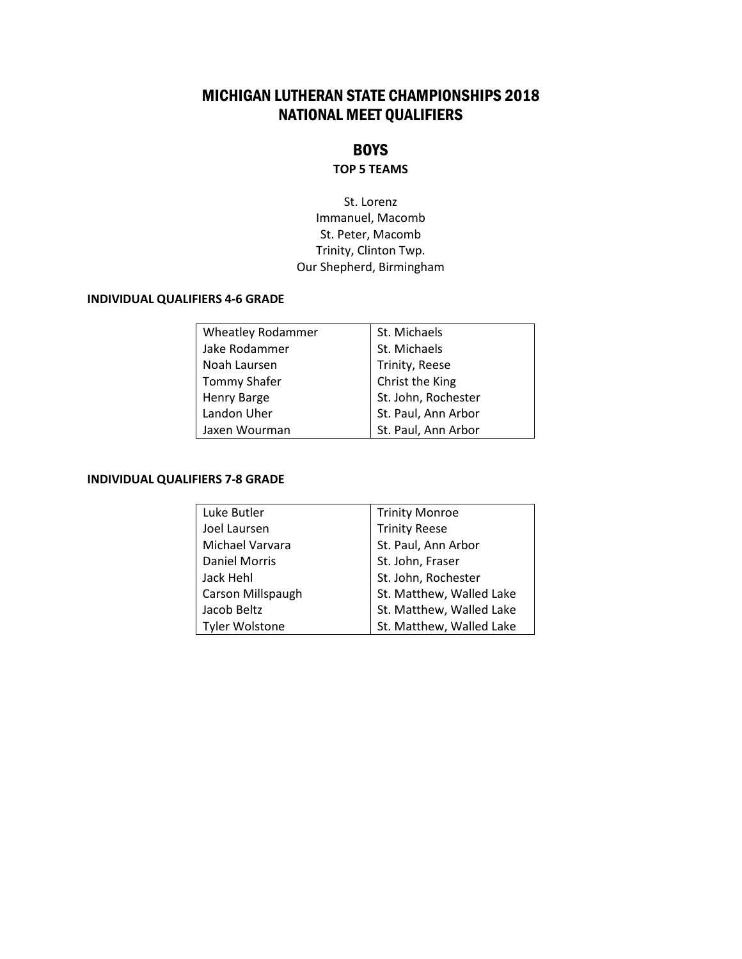## MICHIGAN LUTHERAN STATE CHAMPIONSHIPS 2018 NATIONAL MEET QUALIFIERS

### **BOYS**

#### **TOP 5 TEAMS**

St. Lorenz Immanuel, Macomb St. Peter, Macomb Trinity, Clinton Twp. Our Shepherd, Birmingham

#### **INDIVIDUAL QUALIFIERS 4-6 GRADE**

| <b>Wheatley Rodammer</b> | St. Michaels        |
|--------------------------|---------------------|
| Jake Rodammer            | St. Michaels        |
| Noah Laursen             | Trinity, Reese      |
| Tommy Shafer             | Christ the King     |
| Henry Barge              | St. John, Rochester |
| Landon Uher              | St. Paul, Ann Arbor |
| Jaxen Wourman            | St. Paul, Ann Arbor |

#### **INDIVIDUAL QUALIFIERS 7-8 GRADE**

| Luke Butler           | <b>Trinity Monroe</b>    |
|-----------------------|--------------------------|
| Joel Laursen          | <b>Trinity Reese</b>     |
| Michael Varvara       | St. Paul, Ann Arbor      |
| <b>Daniel Morris</b>  | St. John, Fraser         |
| Jack Hehl             | St. John, Rochester      |
| Carson Millspaugh     | St. Matthew, Walled Lake |
| Jacob Beltz           | St. Matthew, Walled Lake |
| <b>Tyler Wolstone</b> | St. Matthew, Walled Lake |